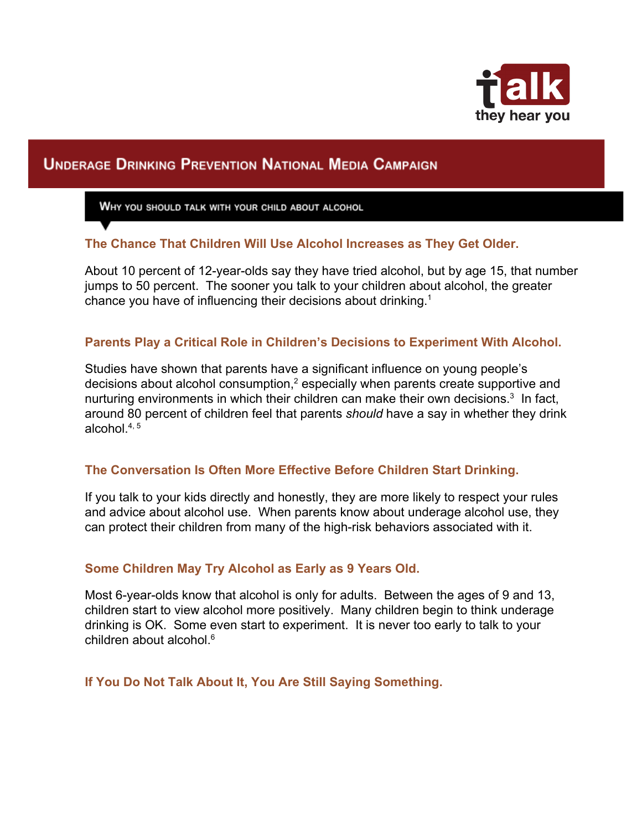

# **UNDERAGE DRINKING PREVENTION NATIONAL MEDIA CAMPAIGN**

WHY YOU SHOULD TALK WITH YOUR CHILD ABOUT ALCOHOL

## **The Chance That Children Will Use Alcohol Increases as They Get Older.**

About 10 percent of 12-year-olds say they have tried alcohol, but by age 15, that number jumps to 50 percent. The sooner you talk to your children about alcohol, the greater chance you have of influencing their decisions about drinking.<sup>1</sup>

### **Parents Play a Critical Role in Children's Decisions to Experiment With Alcohol.**

Studies have shown that parents have a significant influence on young people's decisions about alcohol consumption,<sup>2</sup> especially when parents create supportive and nurturing environments in which their children can make their own decisions. $3$  In fact, around 80 percent of children feel that parents *should* have a say in whether they drink alcohol $.4, 5$ 

### **The Conversation Is Often More Effective Before Children Start Drinking.**

If you talk to your kids directly and honestly, they are more likely to respect your rules and advice about alcohol use. When parents know about underage alcohol use, they can protect their children from many of the high-risk behaviors associated with it.

### **Some Children May Try Alcohol as Early as 9 Years Old.**

Most 6-year-olds know that alcohol is only for adults. Between the ages of 9 and 13, children start to view alcohol more positively. Many children begin to think underage drinking is OK. Some even start to experiment. It is never too early to talk to your children about alcohol.<sup>6</sup>

**If You Do Not Talk About It, You Are Still Saying Something.**